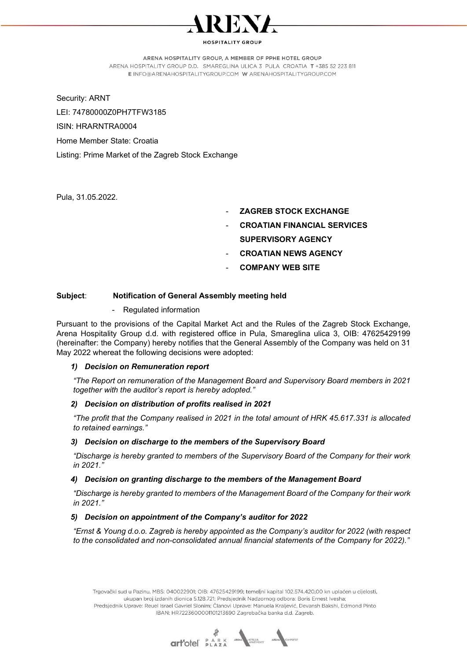

### ARENA HOSPITALITY GROUP, A MEMBER OF PPHE HOTEL GROUP

ARENA HOSPITALITY GROUP D.D. SMAREGLINA ULICA 3 PULA CROATIA T +385 52 223 811 E INFO@ARENAHOSPITALITYGROUP.COM W ARENAHOSPITALITYGROUP.COM

Security: ARNT

LEI: 74780000Z0PH7TFW3185

ISIN: HRARNTRA0004

Home Member State: Croatia

Listing: Prime Market of the Zagreb Stock Exchange

Pula, 31.05.2022.

- **ZAGREB STOCK EXCHANGE**
- **CROATIAN FINANCIAL SERVICES** SUPERVISORY AGENCY
- **CROATIAN NEWS AGENCY**
- **COMPANY WEB SITE**

# Subject: Notification of General Assembly meeting held

- Regulated information

Pursuant to the provisions of the Capital Market Act and the Rules of the Zagreb Stock Exchange, Arena Hospitality Group d.d. with registered office in Pula, Smareglina ulica 3, OIB: 47625429199 (hereinafter: the Company) hereby notifies that the General Assembly of the Company was held on 31 May 2022 whereat the following decisions were adopted:

## 1) Decision on Remuneration report

"The Report on remuneration of the Management Board and Supervisory Board members in 2021 together with the auditor's report is hereby adopted."

## 2) Decision on distribution of profits realised in 2021

"The profit that the Company realised in 2021 in the total amount of HRK 45.617.331 is allocated to retained earnings."

## 3) Decision on discharge to the members of the Supervisory Board

"Discharge is hereby granted to members of the Supervisory Board of the Company for their work in 2021."

## 4) Decision on granting discharge to the members of the Management Board

"Discharge is hereby granted to members of the Management Board of the Company for their work in 2021."

## 5) Decision on appointment of the Company's auditor for 2022

"Ernst & Young d.o.o. Zagreb is hereby appointed as the Company's auditor for 2022 (with respect to the consolidated and non-consolidated annual financial statements of the Company for 2022)."

Trgovački sud u Pazinu, MBS: 040022901; OIB: 47625429199; temeljni kapital 102.574.420,00 kn uplaćen u cijelosti, ukupan broj izdanih dionica 5.128.721; Predsjednik Nadzornog odbora: Boris Ernest Ivesha; Predsjednik Uprave: Reuel Israel Gavriel Slonim; Članovi Uprave: Manuela Kraljević, Devansh Bakshi, Edmond Pinto IBAN: HR7223600001101213690 Zagrebačka banka d.d. Zagreb.

**Gritofel PARK AREA**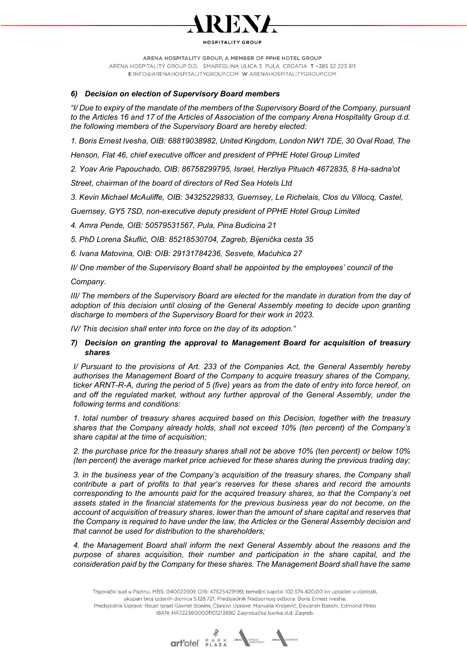

ARENA HOSPITALITY GROUP, A MEMBER OF PPHE HOTEL GROUP ARENA HOSPITALITY GROUP D.D. SMAREGLINA ULICA 3 PULA CROATIA T +385 52 223 811 E INFO@ARENAHOSPITALITYGROUP.COM W ARENAHOSPITALITYGROUP.COM

# 6) Decision on election of Supervisory Board members

"I/ Due to expiry of the mandate of the members of the Supervisory Board of the Company, pursuant to the Articles 16 and 17 of the Articles of Association of the company Arena Hospitality Group d.d. the following members of the Supervisory Board are hereby elected:

1. Boris Ernest Ivesha, OIB: 68819038982, United Kingdom, London NW1 7DE, 30 Oval Road, The

Henson, Flat 46, chief executive officer and president of PPHE Hotel Group Limited

2. Yoav Arie Papouchado, OIB: 86758299795, Israel, Herzliya Pituach 4672835, 8 Ha-sadna'ot

Street, chairman of the board of directors of Red Sea Hotels Ltd

3. Kevin Michael McAuliffe, OIB: 34325229833, Guernsey, Le Richelais, Clos du Villocq, Castel,

Guernsey, GY5 7SD, non-executive deputy president of PPHE Hotel Group Limited

4. Amra Pende, OIB: 50579531567, Pula, Pina Budicina 21

5. PhD Lorena Škuflić, OIB: 85218530704, Zagreb, Bijenička cesta 35

6. Ivana Matovina, OIB: OIB: 29131784236, Sesvete, Maćuhica 27

II/ One member of the Supervisory Board shall be appointed by the employees' council of the

Company.

III/ The members of the Supervisory Board are elected for the mandate in duration from the day of adoption of this decision until closing of the General Assembly meeting to decide upon granting discharge to members of the Supervisory Board for their work in 2023.

IV/ This decision shall enter into force on the day of its adoption."

# 7) Decision on granting the approval to Management Board for acquisition of treasury shares

I/ Pursuant to the provisions of Art. 233 of the Companies Act, the General Assembly hereby authorises the Management Board of the Company to acquire treasury shares of the Company, ticker ARNT-R-A, during the period of 5 (five) years as from the date of entry into force hereof, on and off the regulated market, without any further approval of the General Assembly, under the following terms and conditions:

1. total number of treasury shares acquired based on this Decision, together with the treasury shares that the Company already holds, shall not exceed 10% (ten percent) of the Company's share capital at the time of acquisition;

2. the purchase price for the treasury shares shall not be above 10% (ten percent) or below 10% (ten percent) the average market price achieved for these shares during the previous trading day;

3. in the business year of the Company's acquisition of the treasury shares, the Company shall contribute a part of profits to that year's reserves for these shares and record the amounts corresponding to the amounts paid for the acquired treasury shares, so that the Company's net assets stated in the financial statements for the previous business year do not become, on the account of acquisition of treasury shares, lower than the amount of share capital and reserves that the Company is required to have under the law, the Articles or the General Assembly decision and that cannot be used for distribution to the shareholders;

4. the Management Board shall inform the next General Assembly about the reasons and the purpose of shares acquisition, their number and participation in the share capital, and the consideration paid by the Company for these shares. The Management Board shall have the same

Trgovački sud u Pazinu, MBS: 040022901; OIB: 47625429199; temeljni kapital 102.574.420,00 kn uplaćen u cijelosti, ukupan broj izdanih dionica 5.128.721; Predsjednik Nadzornog odbora: Boris Ernest Ivesha; Predsjednik Uprave: Reuel Israel Gavriel Slonim; Članovi Uprave: Manuela Kraljević, Devansh Bakshi, Edmond Pinto IBAN: HR7223600001101213690 Zagrebačka banka d.d. Zagreb.

**art-otel** PARK AND COREA AREA